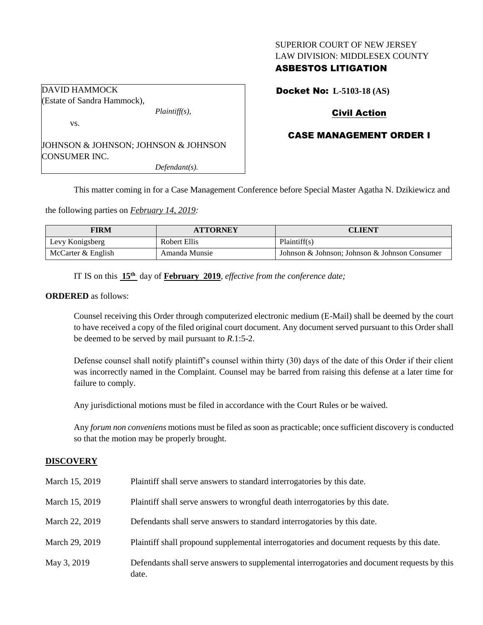### SUPERIOR COURT OF NEW JERSEY LAW DIVISION: MIDDLESEX COUNTY

## ASBESTOS LITIGATION

Docket No: **L-5103-18 (AS)**

# Civil Action

## CASE MANAGEMENT ORDER I

JOHNSON & JOHNSON; JOHNSON & JOHNSON CONSUMER INC. *Defendant(s).*

*Plaintiff(s),*

This matter coming in for a Case Management Conference before Special Master Agatha N. Dzikiewicz and

the following parties on *February 14, 2019:*

| <b>FIRM</b>        | <b>ATTORNEY</b> | CLIENT                                        |
|--------------------|-----------------|-----------------------------------------------|
| Levy Konigsberg    | Robert Ellis    | Plaintiff(s)                                  |
| McCarter & English | Amanda Munsie   | Johnson & Johnson: Johnson & Johnson Consumer |

IT IS on this **15th** day of **February 2019**, *effective from the conference date;*

#### **ORDERED** as follows:

DAVID HAMMOCK

vs.

(Estate of Sandra Hammock),

Counsel receiving this Order through computerized electronic medium (E-Mail) shall be deemed by the court to have received a copy of the filed original court document. Any document served pursuant to this Order shall be deemed to be served by mail pursuant to *R*.1:5-2.

Defense counsel shall notify plaintiff's counsel within thirty (30) days of the date of this Order if their client was incorrectly named in the Complaint. Counsel may be barred from raising this defense at a later time for failure to comply.

Any jurisdictional motions must be filed in accordance with the Court Rules or be waived.

Any *forum non conveniens* motions must be filed as soon as practicable; once sufficient discovery is conducted so that the motion may be properly brought.

#### **DISCOVERY**

| March 15, 2019 | Plaintiff shall serve answers to standard interrogatories by this date.                               |
|----------------|-------------------------------------------------------------------------------------------------------|
| March 15, 2019 | Plaintiff shall serve answers to wrongful death interrogatories by this date.                         |
| March 22, 2019 | Defendants shall serve answers to standard interrogatories by this date.                              |
| March 29, 2019 | Plaintiff shall propound supplemental interrogatories and document requests by this date.             |
| May 3, 2019    | Defendants shall serve answers to supplemental interrogatories and document requests by this<br>date. |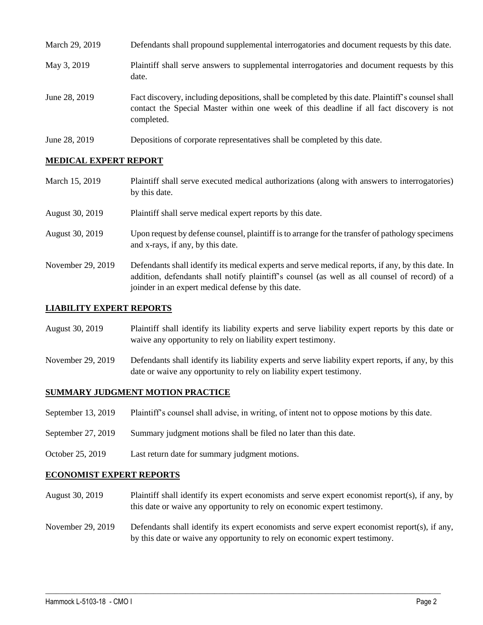| March 29, 2019 | Defendants shall propound supplemental interrogatories and document requests by this date.                                                                                                                  |
|----------------|-------------------------------------------------------------------------------------------------------------------------------------------------------------------------------------------------------------|
| May 3, 2019    | Plaintiff shall serve answers to supplemental interrogatories and document requests by this<br>date.                                                                                                        |
| June 28, 2019  | Fact discovery, including depositions, shall be completed by this date. Plaintiff's counsel shall<br>contact the Special Master within one week of this deadline if all fact discovery is not<br>completed. |
| June 28, 2019  | Depositions of corporate representatives shall be completed by this date.                                                                                                                                   |

## **MEDICAL EXPERT REPORT**

| March 15, 2019    | Plaintiff shall serve executed medical authorizations (along with answers to interrogatories)<br>by this date.                                                                                                                                           |
|-------------------|----------------------------------------------------------------------------------------------------------------------------------------------------------------------------------------------------------------------------------------------------------|
| August 30, 2019   | Plaintiff shall serve medical expert reports by this date.                                                                                                                                                                                               |
| August 30, 2019   | Upon request by defense counsel, plaintiff is to arrange for the transfer of pathology specimens<br>and x-rays, if any, by this date.                                                                                                                    |
| November 29, 2019 | Defendants shall identify its medical experts and serve medical reports, if any, by this date. In<br>addition, defendants shall notify plaintiff's counsel (as well as all counsel of record) of a<br>joinder in an expert medical defense by this date. |

### **LIABILITY EXPERT REPORTS**

| August 30, 2019 | Plaintiff shall identify its liability experts and serve liability expert reports by this date or |
|-----------------|---------------------------------------------------------------------------------------------------|
|                 | waive any opportunity to rely on liability expert testimony.                                      |

November 29, 2019 Defendants shall identify its liability experts and serve liability expert reports, if any, by this date or waive any opportunity to rely on liability expert testimony.

### **SUMMARY JUDGMENT MOTION PRACTICE**

- September 13, 2019 Plaintiff's counsel shall advise, in writing, of intent not to oppose motions by this date.
- September 27, 2019 Summary judgment motions shall be filed no later than this date.
- October 25, 2019 Last return date for summary judgment motions.

#### **ECONOMIST EXPERT REPORTS**

- August 30, 2019 Plaintiff shall identify its expert economists and serve expert economist report(s), if any, by this date or waive any opportunity to rely on economic expert testimony.
- November 29, 2019 Defendants shall identify its expert economists and serve expert economist report(s), if any, by this date or waive any opportunity to rely on economic expert testimony.

 $\_$  ,  $\_$  ,  $\_$  ,  $\_$  ,  $\_$  ,  $\_$  ,  $\_$  ,  $\_$  ,  $\_$  ,  $\_$  ,  $\_$  ,  $\_$  ,  $\_$  ,  $\_$  ,  $\_$  ,  $\_$  ,  $\_$  ,  $\_$  ,  $\_$  ,  $\_$  ,  $\_$  ,  $\_$  ,  $\_$  ,  $\_$  ,  $\_$  ,  $\_$  ,  $\_$  ,  $\_$  ,  $\_$  ,  $\_$  ,  $\_$  ,  $\_$  ,  $\_$  ,  $\_$  ,  $\_$  ,  $\_$  ,  $\_$  ,